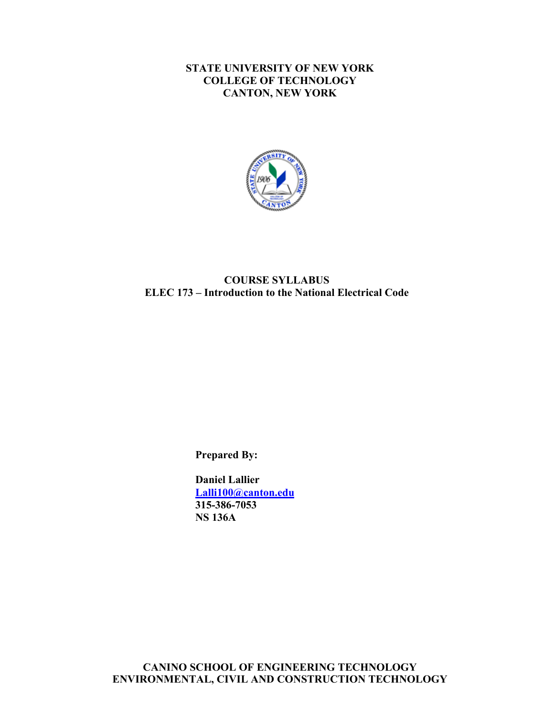#### **STATE UNIVERSITY OF NEW YORK COLLEGE OF TECHNOLOGY CANTON, NEW YORK**



#### **COURSE SYLLABUS COURSE SYLLABUS ELEC 173 – Introduction to the National Electrical Code**

**Prepared By:** 

**Daniel Lallier Lalli100@canton.edu 315-386-7053 NS 136A**

**CANINO SCHOOL OF ENGINEERING TECHNOLOGY ENVIRONMENTAL, CIVIL AND CONSTRUCTION TECHNOLOGY**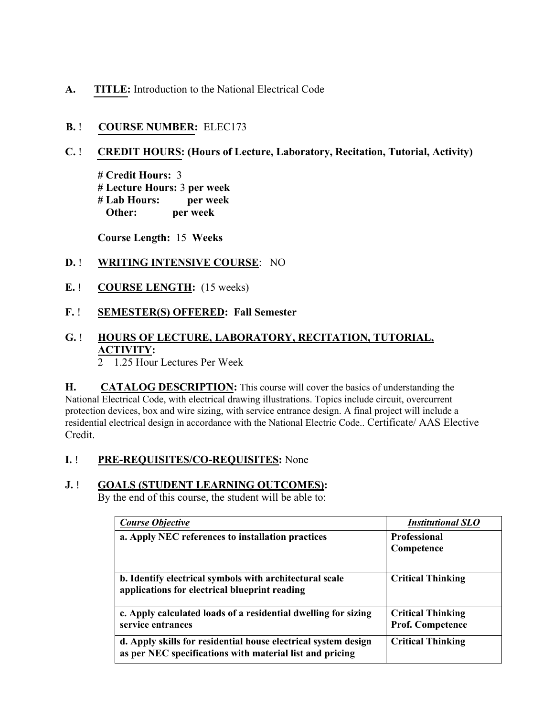**A. TITLE:** Introduction to the National Electrical Code

## **B.** ! **COURSE NUMBER:** ELEC173

#### I **C.** ! **CREDIT HOURS: (Hours of Lecture, Laboratory, Recitation, Tutorial, Activity)**

 **# Lab Hours: per week # Credit Hours:** 3 **# Lecture Hours:** 3 **per week Other: per week** 

 **Course Length:** 15 **Weeks** 

### **D.** ! **WRITING INTENSIVE COURSE**: NO

**E.** ! **COURSE LENGTH:** (15 weeks)

#### **F.** ! **SEMESTER(S) OFFERED: Fall Semester**

# **G.** ! **HOURS OF LECTURE, LABORATORY, RECITATION, TUTORIAL, ACTIVITY:**

2 – 1.25 Hour Lectures Per Week

 **H. CATALOG DESCRIPTION:** This course will cover the basics of understanding the National Electrical Code, with electrical drawing illustrations. Topics include circuit, overcurrent protection devices, box and wire sizing, with service entrance design. A final project will include a residential electrical design in accordance with the National Electric Code.. Certificate/ AAS Elective Credit.

### **I.** ! **PRE-REQUISITES/CO-REQUISITES:** None

### **J.** ! **GOALS (STUDENT LEARNING OUTCOMES):**

By the end of this course, the student will be able to:

| <b>Course Objective</b>                                                                                                    | <b>Institutional SLO</b> |
|----------------------------------------------------------------------------------------------------------------------------|--------------------------|
| a. Apply NEC references to installation practices                                                                          | <b>Professional</b>      |
|                                                                                                                            | Competence               |
|                                                                                                                            |                          |
| b. Identify electrical symbols with architectural scale<br>applications for electrical blueprint reading                   | <b>Critical Thinking</b> |
| c. Apply calculated loads of a residential dwelling for sizing                                                             | <b>Critical Thinking</b> |
| service entrances                                                                                                          | <b>Prof. Competence</b>  |
| d. Apply skills for residential house electrical system design<br>as per NEC specifications with material list and pricing | <b>Critical Thinking</b> |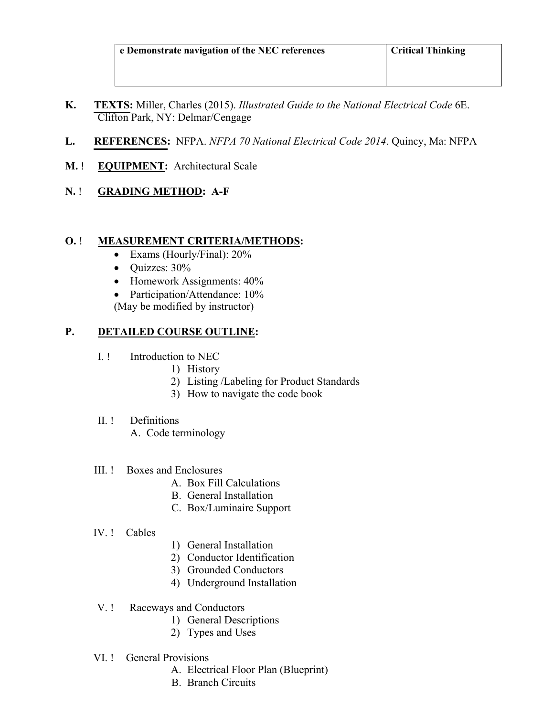- **K. TEXTS:** Miller, Charles (2015). *Illustrated Guide to the National Electrical Code* 6E. Clifton Park, NY: Delmar/Cengage
- **L. REFERENCES:** NFPA. *NFPA 70 National Electrical Code 2014*. Quincy, Ma: NFPA
- **M.** ! **EQUIPMENT:** Architectural Scale
- **N.** ! **GRADING METHOD: A-F**

### **O.** ! **MEASUREMENT CRITERIA/METHODS:**

- Exams (Hourly/Final):  $20\%$
- Quizzes: 30%
- Homework Assignments:  $40\%$
- Participation/Attendance: 10%
- (May be modified by instructor)

## **P. DETAILED COURSE OUTLINE:**

- I. ! Introduction to NEC
	- 1) History
	- 2) Listing /Labeling for Product Standards
	- 3) How to navigate the code book
- II<sup>I</sup>. Definitions
	- A. Code terminology

### III. ! Boxes and Enclosures

- A. Box Fill Calculations
- B. General Installation
- C. Box/Luminaire Support

### IV. ! Cables

- 1) General Installation
- 2) Conductor Identification
- 3) Grounded Conductors
- 4) Underground Installation

### V. ! Raceways and Conductors

- 1) General Descriptions
- 2) Types and Uses
- VI. ! General Provisions
	- A. Electrical Floor Plan (Blueprint)
	- B. Branch Circuits